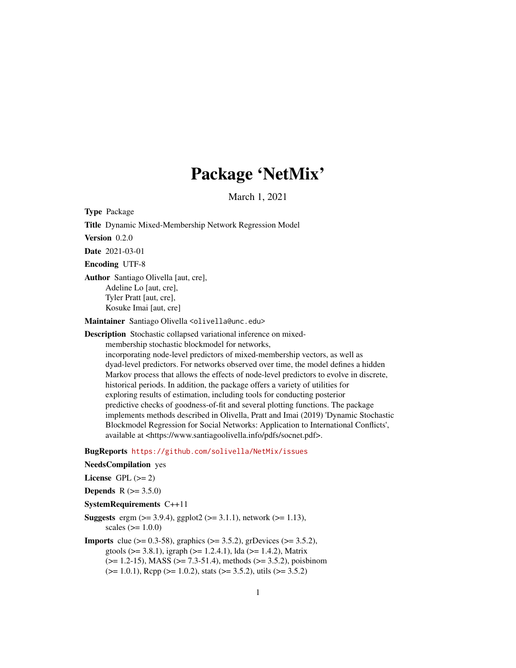# Package 'NetMix'

March 1, 2021

Type Package Title Dynamic Mixed-Membership Network Regression Model Version 0.2.0 Date 2021-03-01 Encoding UTF-8 Author Santiago Olivella [aut, cre], Adeline Lo [aut, cre], Tyler Pratt [aut, cre], Kosuke Imai [aut, cre]

Maintainer Santiago Olivella <olivella@unc.edu>

Description Stochastic collapsed variational inference on mixedmembership stochastic blockmodel for networks,

incorporating node-level predictors of mixed-membership vectors, as well as dyad-level predictors. For networks observed over time, the model defines a hidden Markov process that allows the effects of node-level predictors to evolve in discrete, historical periods. In addition, the package offers a variety of utilities for exploring results of estimation, including tools for conducting posterior predictive checks of goodness-of-fit and several plotting functions. The package implements methods described in Olivella, Pratt and Imai (2019) 'Dynamic Stochastic Blockmodel Regression for Social Networks: Application to International Conflicts', available at <https://www.santiagoolivella.info/pdfs/socnet.pdf>.

BugReports <https://github.com/solivella/NetMix/issues>

#### NeedsCompilation yes

```
License GPL (>= 2)Depends R (>= 3.5.0)SystemRequirements C++11
Suggests ergm (> = 3.9.4), ggplot2 (> = 3.1.1), network (> = 1.13),
      scales (>= 1.0.0)Imports clue (> = 0.3-58), graphics (> = 3.5.2), grDevices (> = 3.5.2),
      gtools (> = 3.8.1), igraph (> = 1.2.4.1), lda (> = 1.4.2), Matrix
      (>= 1.2-15), MASS (>= 7.3-51.4), methods (>= 3.5.2), poisbinom
      (>= 1.0.1), Rcpp (>= 1.0.2), stats (>= 3.5.2), utils (>= 3.5.2)
```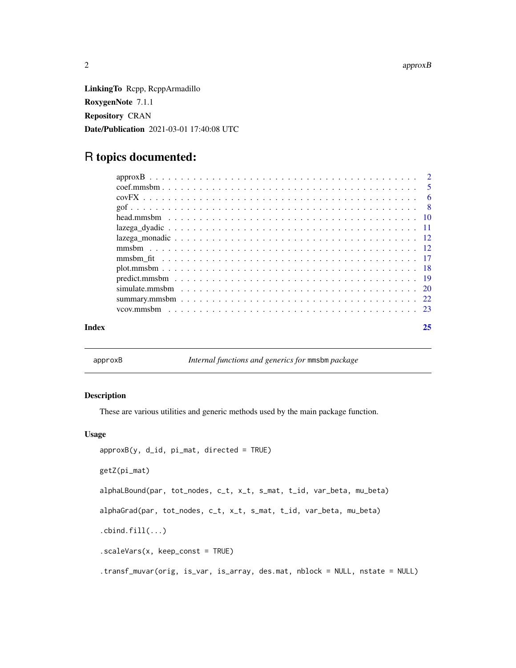<span id="page-1-0"></span>LinkingTo Rcpp, RcppArmadillo RoxygenNote 7.1.1 Repository CRAN Date/Publication 2021-03-01 17:40:08 UTC

# R topics documented:

| Index | 25 |
|-------|----|
|       |    |
|       |    |
|       |    |
|       |    |
|       |    |
|       |    |
|       |    |
|       |    |
|       |    |
|       |    |
|       |    |
|       |    |
|       |    |
|       |    |

approxB *Internal functions and generics for* mmsbm *package*

# Description

These are various utilities and generic methods used by the main package function.

# Usage

```
approxB(y, d_id, pi_matrix, directed = TRUE)getZ(pi_mat)
alphaLBound(par, tot_nodes, c_t, x_t, s_mat, t_id, var_beta, mu_beta)
alphaGrad(par, tot_nodes, c_t, x_t, s_mat, t_id, var_beta, mu_beta)
.cbind.fill(...).scaleVars(x, keep_const = TRUE)
.transf_muvar(orig, is_var, is_array, des.mat, nblock = NULL, nstate = NULL)
```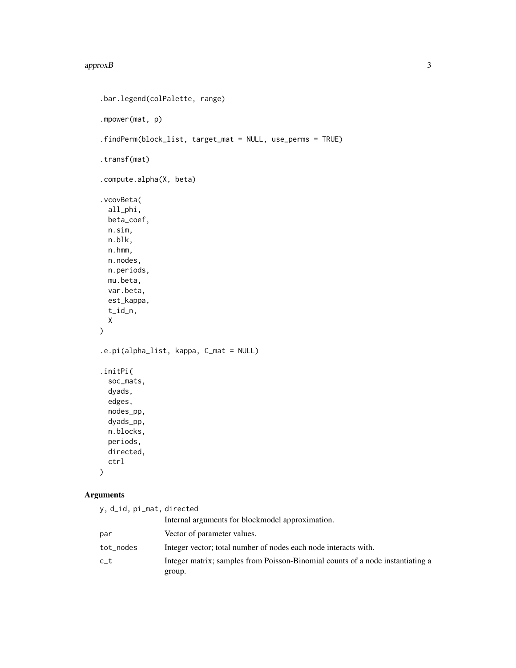```
.bar.legend(colPalette, range)
.mpower(mat, p)
.findPerm(block_list, target_mat = NULL, use_perms = TRUE)
.transf(mat)
.compute.alpha(X, beta)
.vcovBeta(
 all_phi,
 beta_coef,
 n.sim,
 n.blk,
 n.hmm,
 n.nodes,
 n.periods,
 mu.beta,
 var.beta,
 est_kappa,
  t_id_n,
 X
\mathcal{L}.e.pi(alpha_list, kappa, C_mat = NULL)
.initPi(
  soc_mats,
  dyads,
 edges,
 nodes_pp,
  dyads_pp,
 n.blocks,
 periods,
 directed,
 ctrl
)
```
# Arguments

| y, d_id, pi_mat, directed |                                                                                |
|---------------------------|--------------------------------------------------------------------------------|
|                           | Internal arguments for blockmodel approximation.                               |
| par                       | Vector of parameter values.                                                    |
| tot_nodes                 | Integer vector; total number of nodes each node interacts with.                |
| $c_t$                     | Integer matrix; samples from Poisson-Binomial counts of a node instantiating a |
|                           | group.                                                                         |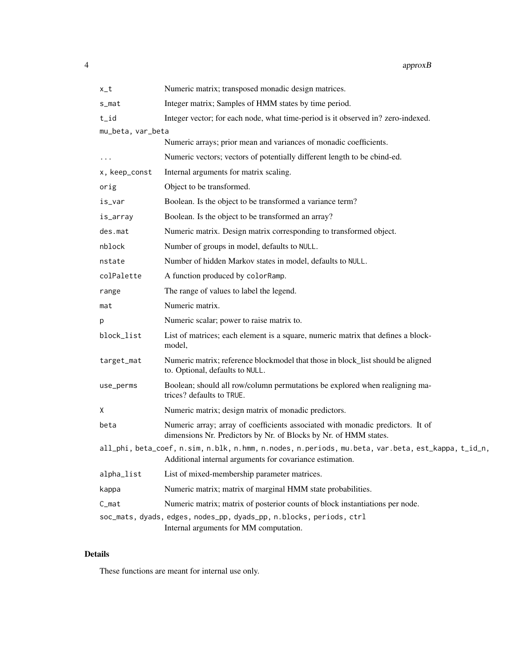| $x_t$             | Numeric matrix; transposed monadic design matrices.                                                                                                            |
|-------------------|----------------------------------------------------------------------------------------------------------------------------------------------------------------|
| s_mat             | Integer matrix; Samples of HMM states by time period.                                                                                                          |
| t_id              | Integer vector; for each node, what time-period is it observed in? zero-indexed.                                                                               |
| mu_beta, var_beta |                                                                                                                                                                |
|                   | Numeric arrays; prior mean and variances of monadic coefficients.                                                                                              |
|                   | Numeric vectors; vectors of potentially different length to be cbind-ed.                                                                                       |
| x, keep_const     | Internal arguments for matrix scaling.                                                                                                                         |
| orig              | Object to be transformed.                                                                                                                                      |
| is_var            | Boolean. Is the object to be transformed a variance term?                                                                                                      |
| is_array          | Boolean. Is the object to be transformed an array?                                                                                                             |
| des.mat           | Numeric matrix. Design matrix corresponding to transformed object.                                                                                             |
| nblock            | Number of groups in model, defaults to NULL.                                                                                                                   |
| nstate            | Number of hidden Markov states in model, defaults to NULL.                                                                                                     |
| colPalette        | A function produced by colorRamp.                                                                                                                              |
| range             | The range of values to label the legend.                                                                                                                       |
| mat               | Numeric matrix.                                                                                                                                                |
| р                 | Numeric scalar; power to raise matrix to.                                                                                                                      |
| block_list        | List of matrices; each element is a square, numeric matrix that defines a block-<br>model,                                                                     |
| target_mat        | Numeric matrix; reference blockmodel that those in block_list should be aligned<br>to. Optional, defaults to NULL.                                             |
| use_perms         | Boolean; should all row/column permutations be explored when realigning ma-<br>trices? defaults to TRUE.                                                       |
| Χ                 | Numeric matrix; design matrix of monadic predictors.                                                                                                           |
| beta              | Numeric array; array of coefficients associated with monadic predictors. It of<br>dimensions Nr. Predictors by Nr. of Blocks by Nr. of HMM states.             |
|                   | all_phi, beta_coef, n.sim, n.blk, n.hmm, n.nodes, n.periods, mu.beta, var.beta, est_kappa, t_id_n,<br>Additional internal arguments for covariance estimation. |
| alpha_list        | List of mixed-membership parameter matrices.                                                                                                                   |
| kappa             | Numeric matrix; matrix of marginal HMM state probabilities.                                                                                                    |
| C <sub>mat</sub>  | Numeric matrix; matrix of posterior counts of block instantiations per node.                                                                                   |
|                   | soc_mats, dyads, edges, nodes_pp, dyads_pp, n.blocks, periods, ctrl<br>Internal arguments for MM computation.                                                  |

# Details

These functions are meant for internal use only.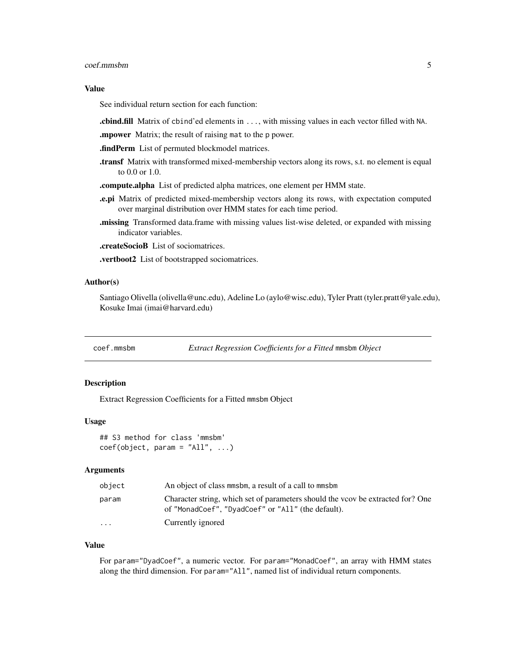#### <span id="page-4-0"></span>coef.mmsbm 5

#### Value

See individual return section for each function:

.cbind.fill Matrix of cbind'ed elements in ..., with missing values in each vector filled with NA.

.mpower Matrix; the result of raising mat to the p power.

.findPerm List of permuted blockmodel matrices.

.transf Matrix with transformed mixed-membership vectors along its rows, s.t. no element is equal to 0.0 or 1.0.

.compute.alpha List of predicted alpha matrices, one element per HMM state.

- .e.pi Matrix of predicted mixed-membership vectors along its rows, with expectation computed over marginal distribution over HMM states for each time period.
- .missing Transformed data.frame with missing values list-wise deleted, or expanded with missing indicator variables.

.createSocioB List of sociomatrices.

.vertboot2 List of bootstrapped sociomatrices.

#### Author(s)

Santiago Olivella (olivella@unc.edu), Adeline Lo (aylo@wisc.edu), Tyler Pratt (tyler.pratt@yale.edu), Kosuke Imai (imai@harvard.edu)

coef.mmsbm *Extract Regression Coefficients for a Fitted* mmsbm *Object*

#### Description

Extract Regression Coefficients for a Fitted mmsbm Object

#### Usage

## S3 method for class 'mmsbm'  $coef(object, param = "All", ...)$ 

#### Arguments

| object   | An object of class mmsbm, a result of a call to mmsbm                                                                                 |
|----------|---------------------------------------------------------------------------------------------------------------------------------------|
| param    | Character string, which set of parameters should the voov be extracted for? One<br>of "MonadCoef", "DyadCoef" or "All" (the default). |
| $\cdots$ | Currently ignored                                                                                                                     |

#### Value

For param="DyadCoef", a numeric vector. For param="MonadCoef", an array with HMM states along the third dimension. For param="All", named list of individual return components.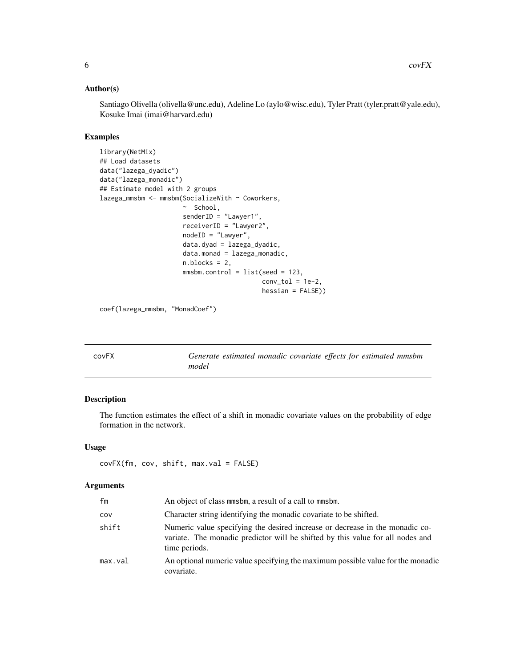#### <span id="page-5-0"></span>Author(s)

Santiago Olivella (olivella@unc.edu), Adeline Lo (aylo@wisc.edu), Tyler Pratt (tyler.pratt@yale.edu), Kosuke Imai (imai@harvard.edu)

# Examples

```
library(NetMix)
## Load datasets
data("lazega_dyadic")
data("lazega_monadic")
## Estimate model with 2 groups
lazega_mmsbm <- mmsbm(SocializeWith ~ Coworkers,
                      ~ School,
                      senderID = "Lawyer1",
                      receiverID = "Lawyer2",
                      nodeID = "Lawyer",
                      data.dyad = lazega_dyadic,
                      data.monad = lazega_monadic,
                      n.blocks = 2,
                      mmsbm.control = list(seed = 123,
                                           conv\_tol = 1e-2,
                                           hessian = FALSE))
```
coef(lazega\_mmsbm, "MonadCoef")

| covFX | Generate estimated monadic covariate effects for estimated mmsbm |
|-------|------------------------------------------------------------------|
|       | model                                                            |

# Description

The function estimates the effect of a shift in monadic covariate values on the probability of edge formation in the network.

#### Usage

```
covFX(fm, cov, shift, max.val = FALSE)
```
#### Arguments

| fm      | An object of class mmsbm, a result of a call to mmsbm.                                                                                                                          |
|---------|---------------------------------------------------------------------------------------------------------------------------------------------------------------------------------|
| cov     | Character string identifying the monadic covariate to be shifted.                                                                                                               |
| shift   | Numeric value specifying the desired increase or decrease in the monadic co-<br>variate. The monadic predictor will be shifted by this value for all nodes and<br>time periods. |
| max.val | An optional numeric value specifying the maximum possible value for the monadic<br>covariate.                                                                                   |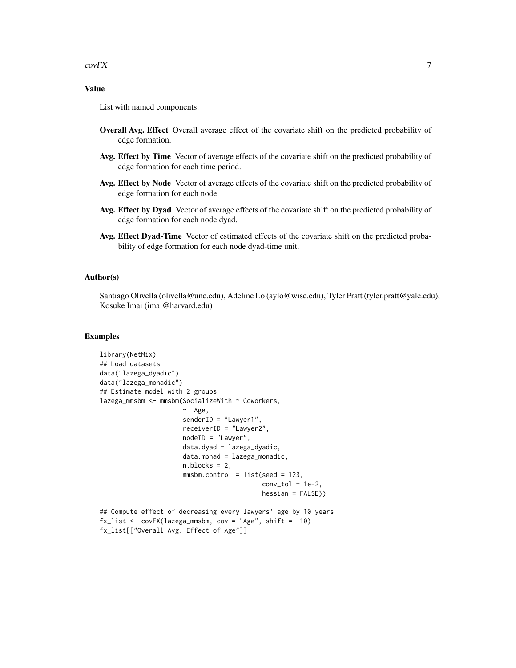$covFX$  7

# Value

List with named components:

- Overall Avg. Effect Overall average effect of the covariate shift on the predicted probability of edge formation.
- Avg. Effect by Time Vector of average effects of the covariate shift on the predicted probability of edge formation for each time period.
- Avg. Effect by Node Vector of average effects of the covariate shift on the predicted probability of edge formation for each node.
- Avg. Effect by Dyad Vector of average effects of the covariate shift on the predicted probability of edge formation for each node dyad.
- Avg. Effect Dyad-Time Vector of estimated effects of the covariate shift on the predicted probability of edge formation for each node dyad-time unit.

# Author(s)

Santiago Olivella (olivella@unc.edu), Adeline Lo (aylo@wisc.edu), Tyler Pratt (tyler.pratt@yale.edu), Kosuke Imai (imai@harvard.edu)

#### Examples

```
library(NetMix)
## Load datasets
data("lazega_dyadic")
data("lazega_monadic")
## Estimate model with 2 groups
lazega_mmsbm <- mmsbm(SocializeWith ~ Coworkers,
                       ~ Age,
                      senderID = "Lawyer1",
                      receiverID = "Lawyer2",
                      nodeID = "Lawyer",
                      data.dyad = lazega_dyadic,
                      data্monad = <math>lazega_monadic,
                      n.blocks = 2.mmsbm.control = list(seed = 123,conv\_tol = 1e-2,
                                            hessian = FALSE))
## Compute effect of decreasing every lawyers' age by 10 years
fx_list \leftarrow covFX(lazega_mmsbm, cov = "Age", shift = -10)
```

```
fx_list[["Overall Avg. Effect of Age"]]
```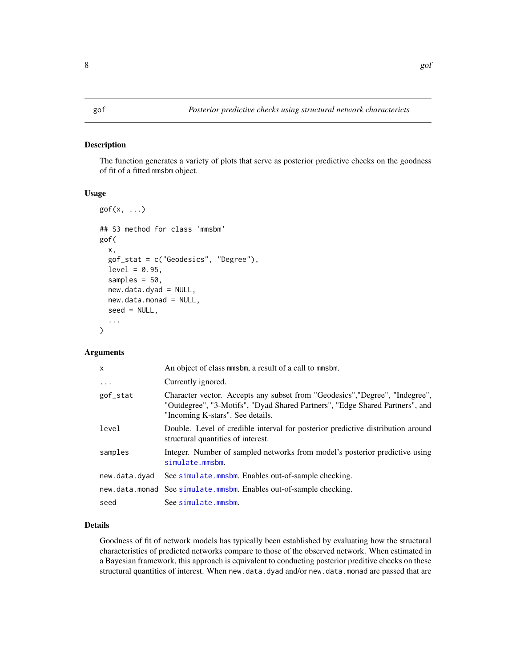#### <span id="page-7-0"></span>Description

The function generates a variety of plots that serve as posterior predictive checks on the goodness of fit of a fitted mmsbm object.

#### Usage

```
gof(x, \ldots)## S3 method for class 'mmsbm'
gof(
 x,
  gof_stat = c("Geodesics", "Degree"),
  level = 0.95,
  samples = 50,
  new.data.dyad = NULL,
  new.data.monad = NULL,
  seed = NULL,
  ...
)
```
#### Arguments

| X             | An object of class mmsbm, a result of a call to mmsbm.                                                                                                                                           |
|---------------|--------------------------------------------------------------------------------------------------------------------------------------------------------------------------------------------------|
| .             | Currently ignored.                                                                                                                                                                               |
| gof_stat      | Character vector. Accepts any subset from "Geodesics", "Degree", "Indegree",<br>"Outdegree", "3-Motifs", "Dyad Shared Partners", "Edge Shared Partners", and<br>"Incoming K-stars". See details. |
| level         | Double. Level of credible interval for posterior predictive distribution around<br>structural quantities of interest.                                                                            |
| samples       | Integer. Number of sampled networks from model's posterior predictive using<br>simulate.mmsbm.                                                                                                   |
| new.data.dyad | See simulate.mmsbm. Enables out-of-sample checking.                                                                                                                                              |
|               | new.data.monad See simulate.mmsbm. Enables out-of-sample checking.                                                                                                                               |
| seed          | See simulate.mmsbm.                                                                                                                                                                              |

# Details

Goodness of fit of network models has typically been established by evaluating how the structural characteristics of predicted networks compare to those of the observed network. When estimated in a Bayesian framework, this approach is equivalent to conducting posterior preditive checks on these structural quantities of interest. When new.data.dyad and/or new.data.monad are passed that are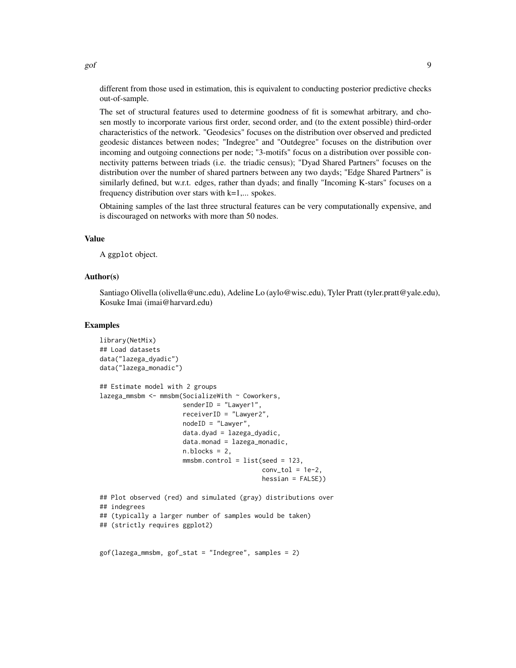different from those used in estimation, this is equivalent to conducting posterior predictive checks out-of-sample.

The set of structural features used to determine goodness of fit is somewhat arbitrary, and chosen mostly to incorporate various first order, second order, and (to the extent possible) third-order characteristics of the network. "Geodesics" focuses on the distribution over observed and predicted geodesic distances between nodes; "Indegree" and "Outdegree" focuses on the distribution over incoming and outgoing connections per node; "3-motifs" focus on a distribution over possible connectivity patterns between triads (i.e. the triadic census); "Dyad Shared Partners" focuses on the distribution over the number of shared partners between any two dayds; "Edge Shared Partners" is similarly defined, but w.r.t. edges, rather than dyads; and finally "Incoming K-stars" focuses on a frequency distribution over stars with  $k=1,...$  spokes.

Obtaining samples of the last three structural features can be very computationally expensive, and is discouraged on networks with more than 50 nodes.

# Value

A ggplot object.

#### Author(s)

Santiago Olivella (olivella@unc.edu), Adeline Lo (aylo@wisc.edu), Tyler Pratt (tyler.pratt@yale.edu), Kosuke Imai (imai@harvard.edu)

#### Examples

```
library(NetMix)
## Load datasets
data("lazega_dyadic")
data("lazega_monadic")
## Estimate model with 2 groups
lazega_mmsbm <- mmsbm(SocializeWith \sim Coworkers,
                      senderID = "Lawyer1",
                      receiverID = "Lawyer2",
                      nodeID = "Lawyer",
                      data.dyad = lazega_dyadic,
                      data্monad = <math>lazega_monadic,
                      n.blocks = 2,mmsbm.control = list(seed = 123,conv\_tol = 1e-2,
                                            hessian = FALSE))
## Plot observed (red) and simulated (gray) distributions over
## indegrees
## (typically a larger number of samples would be taken)
## (strictly requires ggplot2)
gof(lazega_mmsbm, gof_stat = "Indegree", samples = 2)
```
 $g$ of 9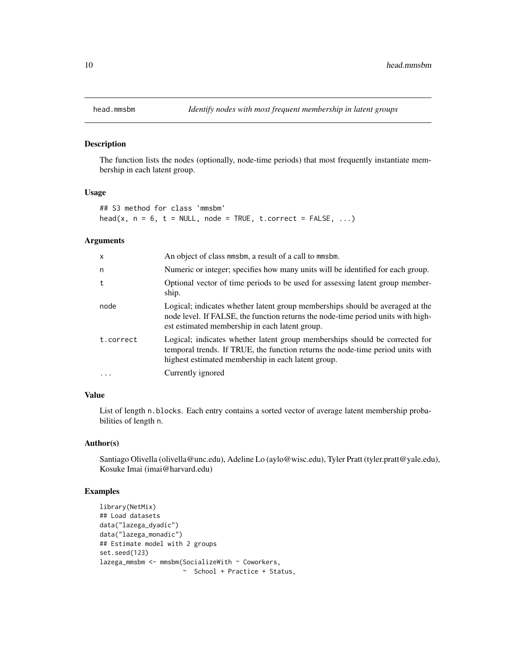<span id="page-9-0"></span>

#### Description

The function lists the nodes (optionally, node-time periods) that most frequently instantiate membership in each latent group.

#### Usage

## S3 method for class 'mmsbm'  $head(x, n = 6, t = NULL, node = TRUE, t.correct = FALSE, ...)$ 

#### Arguments

| $\mathsf{x}$ | An object of class mmsbm, a result of a call to mmsbm.                                                                                                                                                              |
|--------------|---------------------------------------------------------------------------------------------------------------------------------------------------------------------------------------------------------------------|
| n            | Numeric or integer; specifies how many units will be identified for each group.                                                                                                                                     |
| t            | Optional vector of time periods to be used for assessing latent group member-<br>ship.                                                                                                                              |
| node         | Logical; indicates whether latent group memberships should be averaged at the<br>node level. If FALSE, the function returns the node-time period units with high-<br>est estimated membership in each latent group. |
| t.correct    | Logical; indicates whether latent group memberships should be corrected for<br>temporal trends. If TRUE, the function returns the node-time period units with<br>highest estimated membership in each latent group. |
| $\cdot$      | Currently ignored                                                                                                                                                                                                   |

# Value

List of length n.blocks. Each entry contains a sorted vector of average latent membership probabilities of length n.

#### Author(s)

Santiago Olivella (olivella@unc.edu), Adeline Lo (aylo@wisc.edu), Tyler Pratt (tyler.pratt@yale.edu), Kosuke Imai (imai@harvard.edu)

# Examples

```
library(NetMix)
## Load datasets
data("lazega_dyadic")
data("lazega_monadic")
## Estimate model with 2 groups
set.seed(123)
lazega_mmsbm <- mmsbm(SocializeWith ~ Coworkers,
                      ~ School + Practice + Status,
```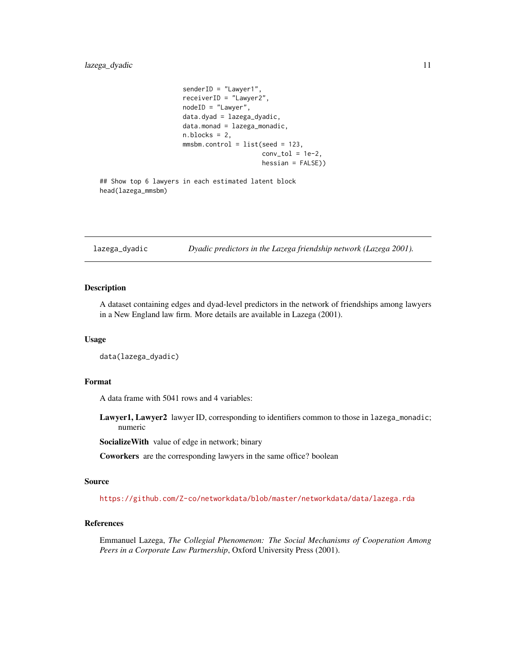```
senderID = "Lawyer1",
receiverID = "Lawyer2",
nodeID = "Lawyer",
data.dyad = lazega_dyadic,
data.monad = lazega_monadic,
n.blocks = 2,
mmsbm.control = list(seed = 123,
                     conv\_tol = 1e-2,
                     hessian = FALSE))
```

```
## Show top 6 lawyers in each estimated latent block
head(lazega_mmsbm)
```
lazega\_dyadic *Dyadic predictors in the Lazega friendship network (Lazega 2001).*

# Description

A dataset containing edges and dyad-level predictors in the network of friendships among lawyers in a New England law firm. More details are available in Lazega (2001).

#### Usage

data(lazega\_dyadic)

# Format

A data frame with 5041 rows and 4 variables:

Lawyer1, Lawyer2 lawyer ID, corresponding to identifiers common to those in lazega\_monadic; numeric

SocializeWith value of edge in network; binary

Coworkers are the corresponding lawyers in the same office? boolean

#### Source

<https://github.com/Z-co/networkdata/blob/master/networkdata/data/lazega.rda>

# References

Emmanuel Lazega, *The Collegial Phenomenon: The Social Mechanisms of Cooperation Among Peers in a Corporate Law Partnership*, Oxford University Press (2001).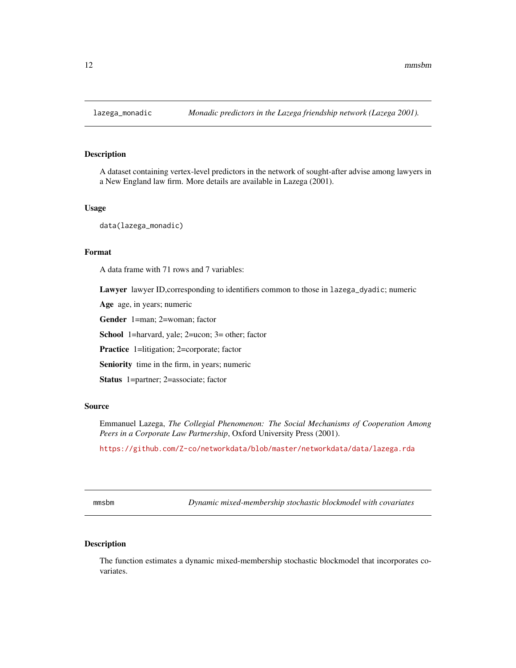<span id="page-11-0"></span>

# Description

A dataset containing vertex-level predictors in the network of sought-after advise among lawyers in a New England law firm. More details are available in Lazega (2001).

### Usage

data(lazega\_monadic)

#### Format

A data frame with 71 rows and 7 variables:

Lawyer lawyer ID,corresponding to identifiers common to those in lazega\_dyadic; numeric

Age age, in years; numeric

Gender 1=man; 2=woman; factor

School 1=harvard, yale; 2=ucon; 3= other; factor

Practice 1=litigation; 2=corporate; factor

Seniority time in the firm, in years; numeric

Status 1=partner; 2=associate; factor

#### Source

Emmanuel Lazega, *The Collegial Phenomenon: The Social Mechanisms of Cooperation Among Peers in a Corporate Law Partnership*, Oxford University Press (2001).

<https://github.com/Z-co/networkdata/blob/master/networkdata/data/lazega.rda>

<span id="page-11-1"></span>mmsbm *Dynamic mixed-membership stochastic blockmodel with covariates*

# Description

The function estimates a dynamic mixed-membership stochastic blockmodel that incorporates covariates.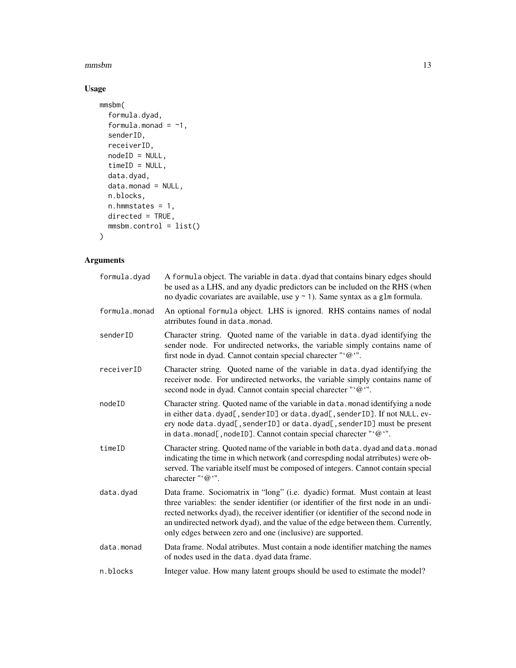#### $\mu$ mmsbm  $\mu$  13

# Usage

```
mmsbm(
  formula.dyad,
  formula.monad = -1,
 senderID,
 receiverID,
 nodeID = NULL,
 timeID = NULL,
 data.dyad,
 data.monad = NULL,
 n.blocks,
 n.hmmstates = 1,
 directed = TRUE,
 mmsbm.control = list()
)
```
# Arguments

| formula.dyad  | A formula object. The variable in data. dyad that contains binary edges should<br>be used as a LHS, and any dyadic predictors can be included on the RHS (when<br>no dyadic covariates are available, use $y \sim 1$ ). Same syntax as a glm formula.                                                                                                                                                        |
|---------------|--------------------------------------------------------------------------------------------------------------------------------------------------------------------------------------------------------------------------------------------------------------------------------------------------------------------------------------------------------------------------------------------------------------|
| formula.monad | An optional formula object. LHS is ignored. RHS contains names of nodal<br>atrributes found in data. monad.                                                                                                                                                                                                                                                                                                  |
| senderID      | Character string. Quoted name of the variable in data.dyad identifying the<br>sender node. For undirected networks, the variable simply contains name of<br>first node in dyad. Cannot contain special charecter "'@'".                                                                                                                                                                                      |
| receiverID    | Character string. Quoted name of the variable in data.dyad identifying the<br>receiver node. For undirected networks, the variable simply contains name of<br>second node in dyad. Cannot contain special charecter "'@'".                                                                                                                                                                                   |
| nodeID        | Character string. Quoted name of the variable in data. monad identifying a node<br>in either data.dyad[, senderID] or data.dyad[, senderID]. If not NULL, ev-<br>ery node data.dyad[, senderID] or data.dyad[, senderID] must be present<br>in data.monad[, nodeID]. Cannot contain special charecter "'@'".                                                                                                 |
| timeID        | Character string. Quoted name of the variable in both data. dyad and data. monad<br>indicating the time in which network (and correspding nodal atrributes) were ob-<br>served. The variable itself must be composed of integers. Cannot contain special<br>charecter "'@'".                                                                                                                                 |
| data.dyad     | Data frame. Sociomatrix in "long" (i.e. dyadic) format. Must contain at least<br>three variables: the sender identifier (or identifier of the first node in an undi-<br>rected networks dyad), the receiver identifier (or identifier of the second node in<br>an undirected network dyad), and the value of the edge between them. Currently,<br>only edges between zero and one (inclusive) are supported. |
| data.monad    | Data frame. Nodal atributes. Must contain a node identifier matching the names<br>of nodes used in the data. dyad data frame.                                                                                                                                                                                                                                                                                |
| n.blocks      | Integer value. How many latent groups should be used to estimate the model?                                                                                                                                                                                                                                                                                                                                  |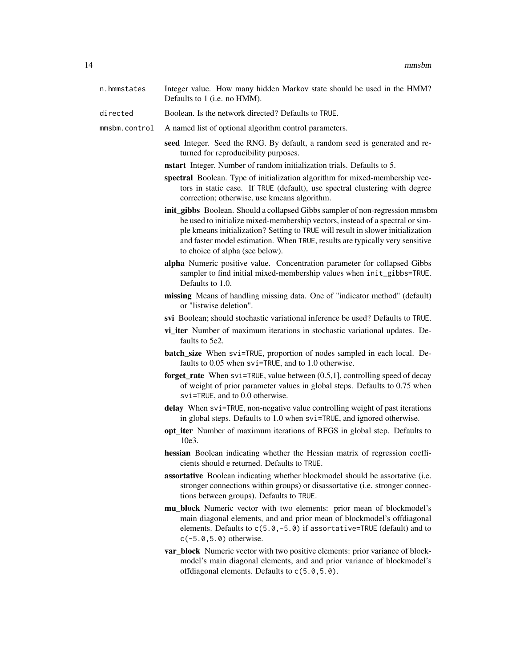- n.hmmstates Integer value. How many hidden Markov state should be used in the HMM? Defaults to 1 (i.e. no HMM).
- directed Boolean. Is the network directed? Defaults to TRUE.

mmsbm.control A named list of optional algorithm control parameters.

- seed Integer. Seed the RNG. By default, a random seed is generated and returned for reproducibility purposes.
- nstart Integer. Number of random initialization trials. Defaults to 5.
- spectral Boolean. Type of initialization algorithm for mixed-membership vectors in static case. If TRUE (default), use spectral clustering with degree correction; otherwise, use kmeans algorithm.
- init gibbs Boolean. Should a collapsed Gibbs sampler of non-regression mmsbm be used to initialize mixed-membership vectors, instead of a spectral or simple kmeans initialization? Setting to TRUE will result in slower initialization and faster model estimation. When TRUE, results are typically very sensitive to choice of alpha (see below).
- alpha Numeric positive value. Concentration parameter for collapsed Gibbs sampler to find initial mixed-membership values when init\_gibbs=TRUE. Defaults to 1.0.
- missing Means of handling missing data. One of "indicator method" (default) or "listwise deletion".
- svi Boolean; should stochastic variational inference be used? Defaults to TRUE.
- vi iter Number of maximum iterations in stochastic variational updates. Defaults to 5e2.
- batch\_size When svi=TRUE, proportion of nodes sampled in each local. Defaults to 0.05 when svi=TRUE, and to 1.0 otherwise.
- forget\_rate When svi=TRUE, value between (0.5,1], controlling speed of decay of weight of prior parameter values in global steps. Defaults to 0.75 when svi=TRUE, and to 0.0 otherwise.
- delay When svi=TRUE, non-negative value controlling weight of past iterations in global steps. Defaults to 1.0 when svi=TRUE, and ignored otherwise.
- opt\_iter Number of maximum iterations of BFGS in global step. Defaults to 10e3.
- hessian Boolean indicating whether the Hessian matrix of regression coefficients should e returned. Defaults to TRUE.
- assortative Boolean indicating whether blockmodel should be assortative (i.e. stronger connections within groups) or disassortative (i.e. stronger connections between groups). Defaults to TRUE.
- mu\_block Numeric vector with two elements: prior mean of blockmodel's main diagonal elements, and and prior mean of blockmodel's offdiagonal elements. Defaults to c(5.0,-5.0) if assortative=TRUE (default) and to c(-5.0,5.0) otherwise.
- var\_block Numeric vector with two positive elements: prior variance of blockmodel's main diagonal elements, and and prior variance of blockmodel's offdiagonal elements. Defaults to c(5.0,5.0).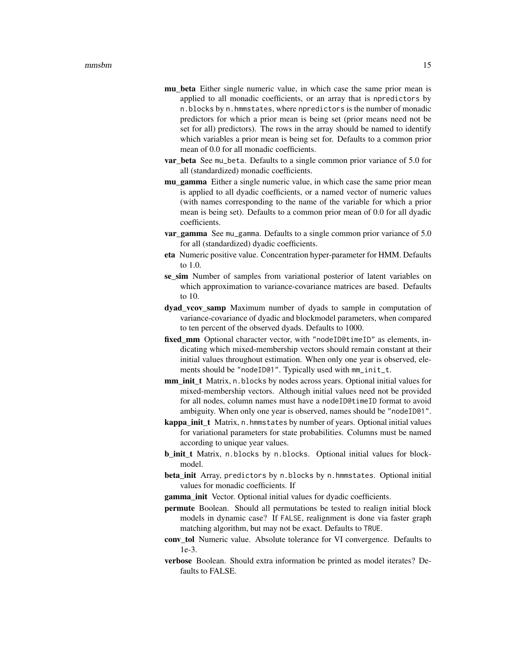- mu\_beta Either single numeric value, in which case the same prior mean is applied to all monadic coefficients, or an array that is npredictors by n.blocks by n.hmmstates, where npredictors is the number of monadic predictors for which a prior mean is being set (prior means need not be set for all) predictors). The rows in the array should be named to identify which variables a prior mean is being set for. Defaults to a common prior mean of 0.0 for all monadic coefficients.
- var beta See mu\_beta. Defaults to a single common prior variance of 5.0 for all (standardized) monadic coefficients.
- mu gamma Either a single numeric value, in which case the same prior mean is applied to all dyadic coefficients, or a named vector of numeric values (with names corresponding to the name of the variable for which a prior mean is being set). Defaults to a common prior mean of 0.0 for all dyadic coefficients.
- **var gamma** See mu\_gamma. Defaults to a single common prior variance of 5.0 for all (standardized) dyadic coefficients.
- eta Numeric positive value. Concentration hyper-parameter for HMM. Defaults to  $1.0$
- se sim Number of samples from variational posterior of latent variables on which approximation to variance-covariance matrices are based. Defaults to 10.
- dyad\_vcov\_samp Maximum number of dyads to sample in computation of variance-covariance of dyadic and blockmodel parameters, when compared to ten percent of the observed dyads. Defaults to 1000.
- fixed\_mm Optional character vector, with "nodeID@timeID" as elements, indicating which mixed-membership vectors should remain constant at their initial values throughout estimation. When only one year is observed, elements should be "nodeID@1". Typically used with mm\_init\_t.
- mm\_init\_t Matrix, n.blocks by nodes across years. Optional initial values for mixed-membership vectors. Although initial values need not be provided for all nodes, column names must have a nodeID@timeID format to avoid ambiguity. When only one year is observed, names should be "nodeID@1".
- kappa\_init\_t Matrix, n. hmmstates by number of years. Optional initial values for variational parameters for state probabilities. Columns must be named according to unique year values.
- b\_init\_t Matrix, n.blocks by n.blocks. Optional initial values for blockmodel.
- beta\_init Array, predictors by n.blocks by n.hmmstates. Optional initial values for monadic coefficients. If
- gamma\_init Vector. Optional initial values for dyadic coefficients.
- permute Boolean. Should all permutations be tested to realign initial block models in dynamic case? If FALSE, realignment is done via faster graph matching algorithm, but may not be exact. Defaults to TRUE.
- conv tol Numeric value. Absolute tolerance for VI convergence. Defaults to 1e-3.
- verbose Boolean. Should extra information be printed as model iterates? Defaults to FALSE.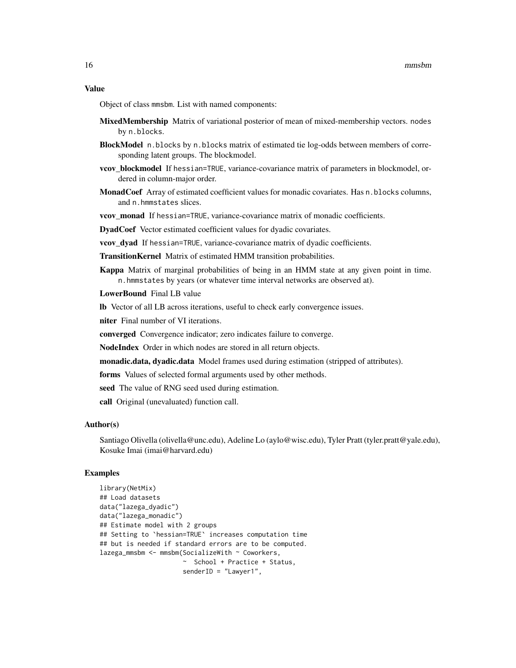#### Value

Object of class mmsbm. List with named components:

- MixedMembership Matrix of variational posterior of mean of mixed-membership vectors. nodes by n.blocks.
- BlockModel n.blocks by n.blocks matrix of estimated tie log-odds between members of corresponding latent groups. The blockmodel.
- **vcov\_blockmodel** If hessian=TRUE, variance-covariance matrix of parameters in blockmodel, ordered in column-major order.
- MonadCoef Array of estimated coefficient values for monadic covariates. Has n.blocks columns, and n.hmmstates slices.

vcov\_monad If hessian=TRUE, variance-covariance matrix of monadic coefficients.

DyadCoef Vector estimated coefficient values for dyadic covariates.

**vcov** dyad If hessian=TRUE, variance-covariance matrix of dyadic coefficients.

TransitionKernel Matrix of estimated HMM transition probabilities.

Kappa Matrix of marginal probabilities of being in an HMM state at any given point in time. n.hmmstates by years (or whatever time interval networks are observed at).

LowerBound Final LB value

lb Vector of all LB across iterations, useful to check early convergence issues.

niter Final number of VI iterations.

converged Convergence indicator; zero indicates failure to converge.

NodeIndex Order in which nodes are stored in all return objects.

monadic.data, dyadic.data Model frames used during estimation (stripped of attributes).

forms Values of selected formal arguments used by other methods.

seed The value of RNG seed used during estimation.

call Original (unevaluated) function call.

#### Author(s)

Santiago Olivella (olivella@unc.edu), Adeline Lo (aylo@wisc.edu), Tyler Pratt (tyler.pratt@yale.edu), Kosuke Imai (imai@harvard.edu)

#### Examples

```
library(NetMix)
## Load datasets
data("lazega_dyadic")
data("lazega_monadic")
## Estimate model with 2 groups
## Setting to `hessian=TRUE` increases computation time
## but is needed if standard errors are to be computed.
lazega_mmsbm <- mmsbm(SocializeWith ~ Coworkers,
                      ~ School + Practice + Status,
                      senderID = "Lawyer1",
```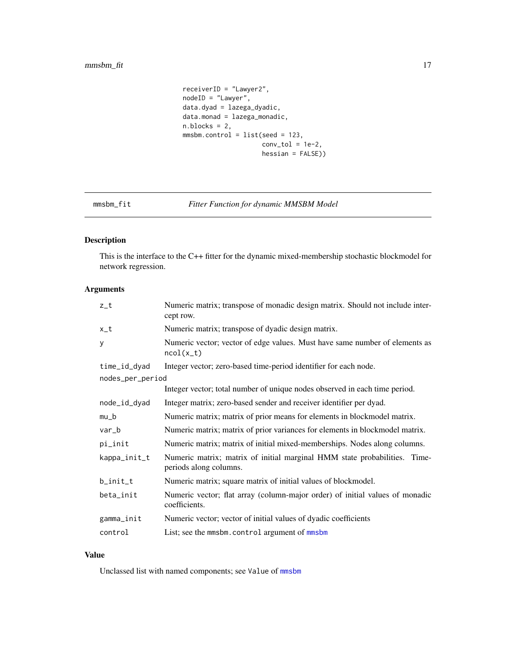```
receiverID = "Lawyer2",
nodeID = "Lawyer",
data.dyad = lazega_dyadic,
data.monad = lazega_monadic,
n.blocks = 2,
mmsbm.control = list(seed = 123,
                     conv\_tol = 1e-2,hessian = FALSE))
```
# mmsbm\_fit *Fitter Function for dynamic MMSBM Model*

# Description

This is the interface to the C++ fitter for the dynamic mixed-membership stochastic blockmodel for network regression.

# Arguments

| Numeric matrix; transpose of monadic design matrix. Should not include inter-<br>cept row.          |
|-----------------------------------------------------------------------------------------------------|
| Numeric matrix; transpose of dyadic design matrix.                                                  |
| Numeric vector; vector of edge values. Must have same number of elements as<br>$ncol(x_t)$          |
| Integer vector; zero-based time-period identifier for each node.                                    |
| nodes_per_period                                                                                    |
| Integer vector; total number of unique nodes observed in each time period.                          |
| Integer matrix; zero-based sender and receiver identifier per dyad.                                 |
| Numeric matrix; matrix of prior means for elements in blockmodel matrix.                            |
| Numeric matrix; matrix of prior variances for elements in blockmodel matrix.                        |
| Numeric matrix; matrix of initial mixed-memberships. Nodes along columns.                           |
| Numeric matrix; matrix of initial marginal HMM state probabilities. Time-<br>periods along columns. |
| Numeric matrix; square matrix of initial values of blockmodel.                                      |
| Numeric vector; flat array (column-major order) of initial values of monadic<br>coefficients.       |
| Numeric vector; vector of initial values of dyadic coefficients                                     |
| List; see the mmsbm.control argument of mmsbm                                                       |
|                                                                                                     |

#### Value

Unclassed list with named components; see Value of [mmsbm](#page-11-1)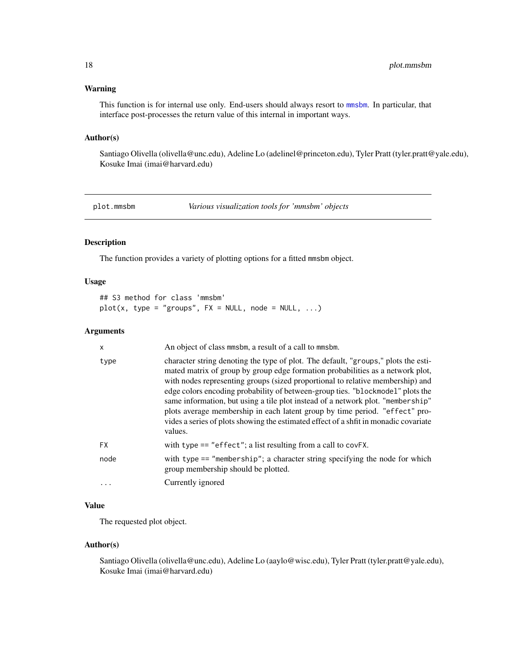# <span id="page-17-0"></span>Warning

This function is for internal use only. End-users should always resort to [mmsbm](#page-11-1). In particular, that interface post-processes the return value of this internal in important ways.

#### Author(s)

Santiago Olivella (olivella@unc.edu), Adeline Lo (adelinel@princeton.edu), Tyler Pratt (tyler.pratt@yale.edu), Kosuke Imai (imai@harvard.edu)

plot.mmsbm *Various visualization tools for 'mmsbm' objects*

# Description

The function provides a variety of plotting options for a fitted mmsbm object.

#### Usage

```
## S3 method for class 'mmsbm'
plot(x, type = "groups", FX = NULL, node = NULL, ...)
```
#### Arguments

| X         | An object of class mmsbm, a result of a call to mmsbm.                                                                                                                                                                                                                                                                                                                                                                                                                                                                                                                                                        |
|-----------|---------------------------------------------------------------------------------------------------------------------------------------------------------------------------------------------------------------------------------------------------------------------------------------------------------------------------------------------------------------------------------------------------------------------------------------------------------------------------------------------------------------------------------------------------------------------------------------------------------------|
| type      | character string denoting the type of plot. The default, "groups," plots the esti-<br>mated matrix of group by group edge formation probabilities as a network plot,<br>with nodes representing groups (sized proportional to relative membership) and<br>edge colors encoding probability of between-group ties. "blockmodel" plots the<br>same information, but using a tile plot instead of a network plot. "membership"<br>plots average membership in each latent group by time period. "effect" pro-<br>vides a series of plots showing the estimated effect of a shfit in monadic covariate<br>values. |
| <b>FX</b> | with type $==$ "effect"; a list resulting from a call to covFX.                                                                                                                                                                                                                                                                                                                                                                                                                                                                                                                                               |
| node      | with type $==$ "membership"; a character string specifying the node for which<br>group membership should be plotted.                                                                                                                                                                                                                                                                                                                                                                                                                                                                                          |
| .         | Currently ignored                                                                                                                                                                                                                                                                                                                                                                                                                                                                                                                                                                                             |

# Value

The requested plot object.

#### Author(s)

Santiago Olivella (olivella@unc.edu), Adeline Lo (aaylo@wisc.edu), Tyler Pratt (tyler.pratt@yale.edu), Kosuke Imai (imai@harvard.edu)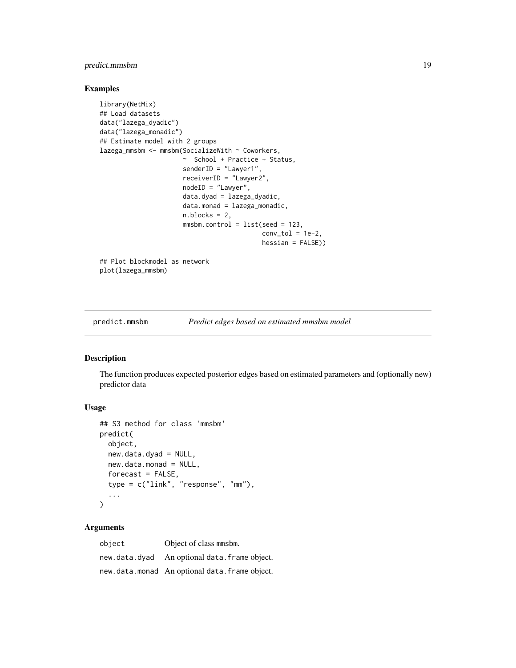# <span id="page-18-0"></span>predict.mmsbm 19

#### Examples

```
library(NetMix)
## Load datasets
data("lazega_dyadic")
data("lazega_monadic")
## Estimate model with 2 groups
lazega_mmsbm <- mmsbm(SocializeWith ~ Coworkers,
                      ~ School + Practice + Status,
                      senderID = "Lawyer1",
                      receiverID = "Lawyer2",
                      nodeID = "Lawyer",
                      data.dyad = lazega_dyadic,
                      data.monad = lazega_monadic,
                      n.blocks = 2,
                      mmsbm.control = list(seed = 123,conv\_tol = 1e-2,
                                           hessian = FALSE))
## Plot blockmodel as network
plot(lazega_mmsbm)
```
predict.mmsbm *Predict edges based on estimated mmsbm model*

#### Description

The function produces expected posterior edges based on estimated parameters and (optionally new) predictor data

# Usage

```
## S3 method for class 'mmsbm'
predict(
  object,
  new.data.dyad = NULL,
  new.data.monad = NULL,
  forceast = FALSE,type = c("link", "response", "mm"),
  ...
)
```
#### Arguments

object Object of class mmsbm. new.data.dyad An optional data.frame object. new.data.monad An optional data.frame object.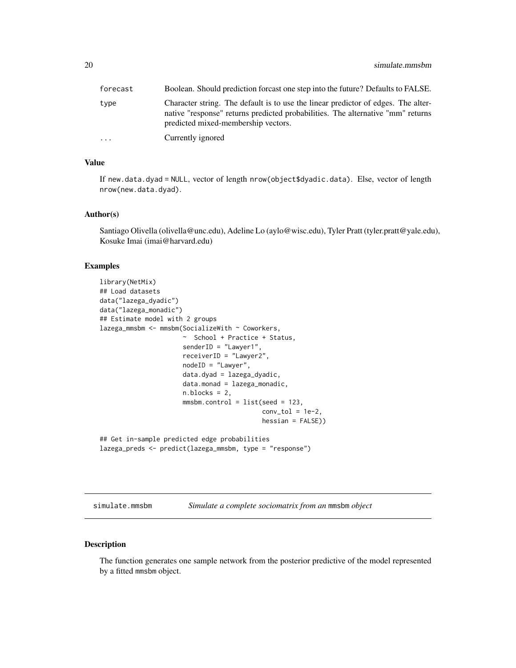<span id="page-19-0"></span>

| forecast | Boolean. Should prediction forcast one step into the future? Defaults to FALSE.                                                                                                                             |
|----------|-------------------------------------------------------------------------------------------------------------------------------------------------------------------------------------------------------------|
| type     | Character string. The default is to use the linear predictor of edges. The alter-<br>native "response" returns predicted probabilities. The alternative "mm" returns<br>predicted mixed-membership vectors. |
| $\cdots$ | Currently ignored                                                                                                                                                                                           |

# Value

If new.data.dyad = NULL, vector of length nrow(object\$dyadic.data). Else, vector of length nrow(new.data.dyad).

## Author(s)

Santiago Olivella (olivella@unc.edu), Adeline Lo (aylo@wisc.edu), Tyler Pratt (tyler.pratt@yale.edu), Kosuke Imai (imai@harvard.edu)

#### Examples

```
library(NetMix)
## Load datasets
data("lazega_dyadic")
data("lazega_monadic")
## Estimate model with 2 groups
lazega_mmsbm <- mmsbm(SocializeWith ~ Coworkers,
                      ~ School + Practice + Status,
                      senderID = "Lawyer1",
                      receiverID = "Lawyer2",
                      nodeID = "Lawyer",
                      data.dyad = lazega_dyadic,
                      data.monad = lazega_monadic,
                      n.blocks = 2,
                      mmsbm.control = list(seed = 123,
                                           conv\_tol = 1e-2,
                                           hessian = FALSE))
## Get in-sample predicted edge probabilities
lazega_preds <- predict(lazega_mmsbm, type = "response")
```
<span id="page-19-1"></span>simulate.mmsbm *Simulate a complete sociomatrix from an* mmsbm *object*

#### Description

The function generates one sample network from the posterior predictive of the model represented by a fitted mmsbm object.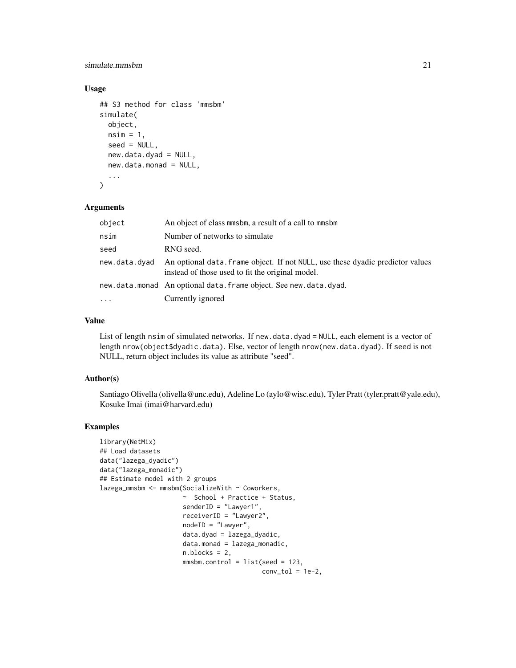# simulate.mmsbm 21

# Usage

```
## S3 method for class 'mmsbm'
simulate(
  object,
  nsim = 1,
  seed = NULL,
  new.data.dyad = NULL,
  new.data.monad = NULL,
  ...
\mathcal{E}
```
#### Arguments

| An object of class minsbin, a result of a call to minsbin                                                                          |
|------------------------------------------------------------------------------------------------------------------------------------|
| Number of networks to simulate                                                                                                     |
| RNG seed.                                                                                                                          |
| An optional data. Frame object. If not NULL, use these dyadic predictor values<br>instead of those used to fit the original model. |
| new.data.monad An optional data.frame object. See new.data.dyad.                                                                   |
| Currently ignored                                                                                                                  |
|                                                                                                                                    |

# Value

List of length nsim of simulated networks. If new.data.dyad = NULL, each element is a vector of length nrow(object\$dyadic.data). Else, vector of length nrow(new.data.dyad). If seed is not NULL, return object includes its value as attribute "seed".

### Author(s)

Santiago Olivella (olivella@unc.edu), Adeline Lo (aylo@wisc.edu), Tyler Pratt (tyler.pratt@yale.edu), Kosuke Imai (imai@harvard.edu)

# Examples

```
library(NetMix)
## Load datasets
data("lazega_dyadic")
data("lazega_monadic")
## Estimate model with 2 groups
lazega_mmsbm <- mmsbm(SocializeWith ~ Coworkers,
                      ~ School + Practice + Status,
                      senderID = "Lawyer1",
                      receiverID = "Lawyer2",
                      nodeID = "Lawyer",
                      data.dyad = lazega_dyadic,
                      data.monad = lazega_monadic,
                      n.blocks = 2,
                      mmsbm.control = list(seed = 123,conv\_tol = 1e-2,
```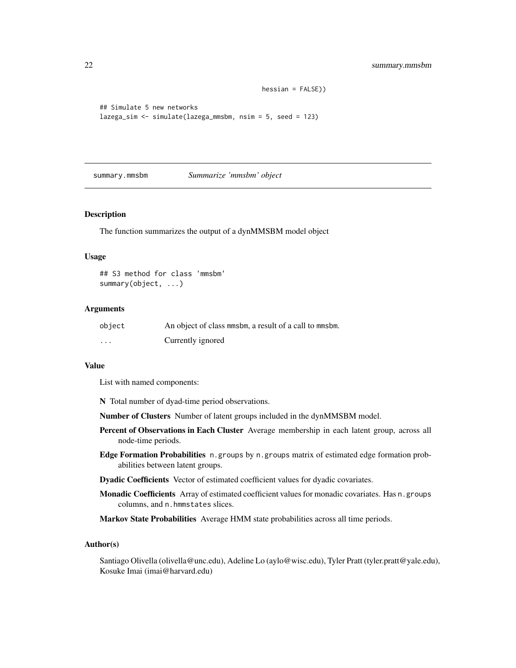```
hessian = FALSE))
```

```
## Simulate 5 new networks
lazega_sim <- simulate(lazega_mmsbm, nsim = 5, seed = 123)
```
summary.mmsbm *Summarize 'mmsbm' object*

#### Description

The function summarizes the output of a dynMMSBM model object

#### Usage

```
## S3 method for class 'mmsbm'
summary(object, ...)
```
#### Arguments

| object   | An object of class minsbin, a result of a call to minsbin. |
|----------|------------------------------------------------------------|
| $\cdots$ | Currently ignored                                          |

#### Value

List with named components:

- N Total number of dyad-time period observations.
- Number of Clusters Number of latent groups included in the dynMMSBM model.
- Percent of Observations in Each Cluster Average membership in each latent group, across all node-time periods.
- Edge Formation Probabilities n.groups by n.groups matrix of estimated edge formation probabilities between latent groups.
- Dyadic Coefficients Vector of estimated coefficient values for dyadic covariates.
- Monadic Coefficients Array of estimated coefficient values for monadic covariates. Has n. groups columns, and n.hmmstates slices.

Markov State Probabilities Average HMM state probabilities across all time periods.

#### Author(s)

Santiago Olivella (olivella@unc.edu), Adeline Lo (aylo@wisc.edu), Tyler Pratt (tyler.pratt@yale.edu), Kosuke Imai (imai@harvard.edu)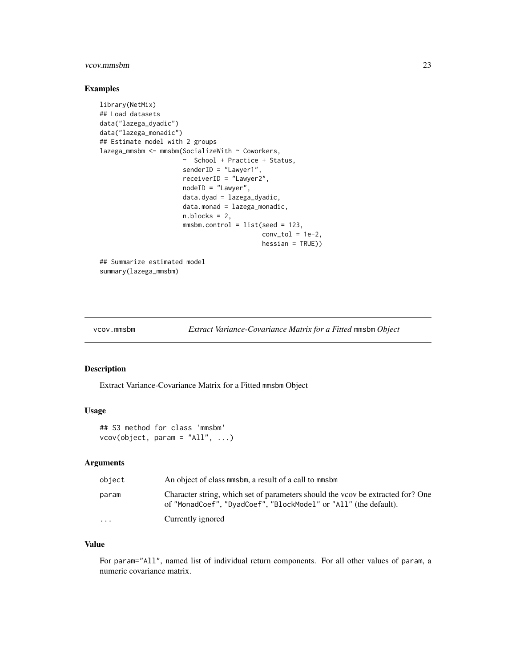# <span id="page-22-0"></span>vcov.mmsbm 23

# Examples

```
library(NetMix)
## Load datasets
data("lazega_dyadic")
data("lazega_monadic")
## Estimate model with 2 groups
lazega_mmsbm <- mmsbm(SocializeWith ~ Coworkers,
                      ~ School + Practice + Status,
                      senderID = "Lawyer1",
                      receiverID = "Lawyer2",
                      nodeID = "Lawyer",
                      data.dyad = lazega_dyadic,
                      data.monad = lazega_monadic,
                      n.blocks = 2,
                      mmsbm.control = list(seed = 123,
                                           conv\_tol = 1e-2,hessian = TRUE))
## Summarize estimated model
```
summary(lazega\_mmsbm)

```
vcov.mmsbm Extract Variance-Covariance Matrix for a Fitted mmsbm Object
```
### Description

Extract Variance-Covariance Matrix for a Fitted mmsbm Object

#### Usage

## S3 method for class 'mmsbm'  $vcov(object, param = "All", ...)$ 

#### Arguments

| object                  | An object of class minsbin, a result of a call to minsbin                                                                                           |
|-------------------------|-----------------------------------------------------------------------------------------------------------------------------------------------------|
| param                   | Character string, which set of parameters should the voov be extracted for? One<br>of "MonadCoef", "DyadCoef", "BlockModel" or "All" (the default). |
| $\cdot$ $\cdot$ $\cdot$ | Currently ignored                                                                                                                                   |

# Value

For param="All", named list of individual return components. For all other values of param, a numeric covariance matrix.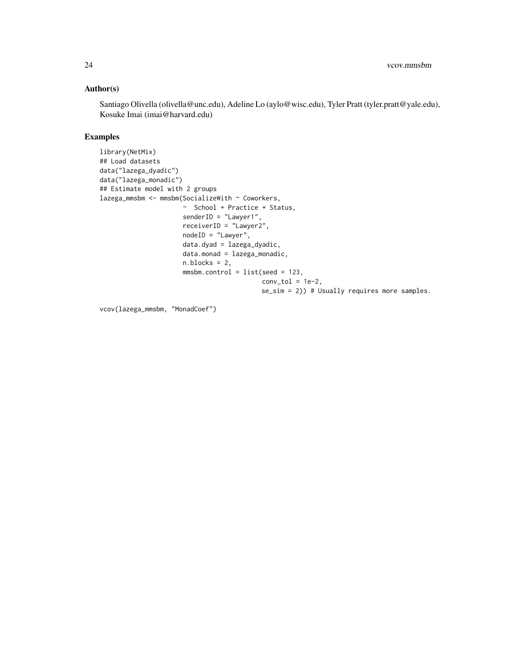# Author(s)

Santiago Olivella (olivella@unc.edu), Adeline Lo (aylo@wisc.edu), Tyler Pratt (tyler.pratt@yale.edu), Kosuke Imai (imai@harvard.edu)

# Examples

```
library(NetMix)
## Load datasets
data("lazega_dyadic")
data("lazega_monadic")
## Estimate model with 2 groups
lazega_mmsbm <- mmsbm(SocializeWith ~ Coworkers,
                     ~ School + Practice + Status,
                      senderID = "Lawyer1",
                      receiverID = "Lawyer2",
                      nodeID = "Lawyer",
                      data.dyad = lazega_dyadic,
                      data.monad = lazega_monadic,
                      n.blocks = 2,
                      mmsbm.control = list(seed = 123,
                                           conv\_tol = 1e-2,se_sim = 2)) # Usually requires more samples.
```
vcov(lazega\_mmsbm, "MonadCoef")